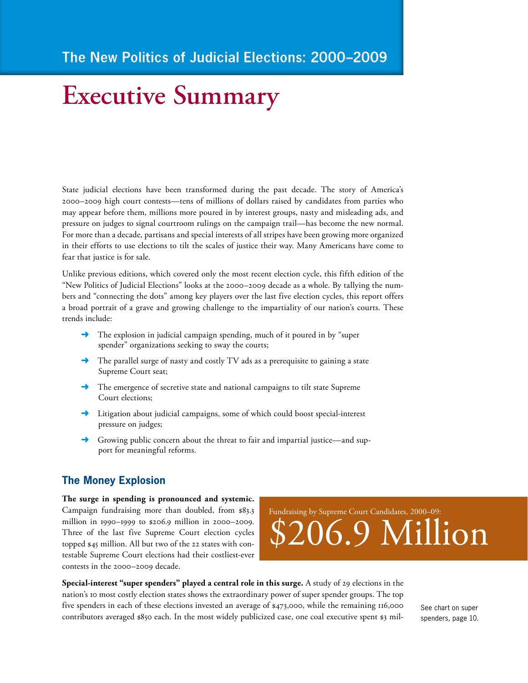# **Executive Summary**

State judicial elections have been transformed during the past decade. The story of America's 2000–2009 high court contests—tens of millions of dollars raised by candidates from parties who may appear before them, millions more poured in by interest groups, nasty and misleading ads, and pressure on judges to signal courtroom rulings on the campaign trail—has become the new normal. For more than a decade, partisans and special interests of all stripes have been growing more organized in their efforts to use elections to tilt the scales of justice their way. Many Americans have come to fear that justice is for sale.

Unlike previous editions, which covered only the most recent election cycle, this fifth edition of the "New Politics of Judicial Elections" looks at the 2000–2009 decade as a whole. By tallying the numbers and "connecting the dots" among key players over the last five election cycles, this report offers a broad portrait of a grave and growing challenge to the impartiality of our nation's courts. These trends include:

- ➜ The explosion in judicial campaign spending, much of it poured in by "super spender" organizations seeking to sway the courts;
- $\rightarrow$  The parallel surge of nasty and costly TV ads as a prerequisite to gaining a state Supreme Court seat;
- **→** The emergence of secretive state and national campaigns to tilt state Supreme Court elections;
- ➜ Litigation about judicial campaigns, some of which could boost special-interest pressure on judges;
- Growing public concern about the threat to fair and impartial justice—and support for meaningful reforms.

#### **The Money Explosion**

**The surge in spending is pronounced and systemic.** Campaign fundraising more than doubled, from \$83.3 million in 1990–1999 to \$206.9 million in 2000–2009. Three of the last five Supreme Court election cycles topped \$45 million. All but two of the 22 states with contestable Supreme Court elections had their costliest-ever contests in the 2000–2009 decade.

Fundraising by Supreme Court Candidates, 2000–09: \$206.9 Million

**Special-interest "super spenders" played a central role in this surge.** A study of 29 elections in the nation's 10 most costly election states shows the extraordinary power of super spender groups. The top five spenders in each of these elections invested an average of \$473,000, while the remaining 116,000 contributors averaged \$850 each. In the most widely publicized case, one coal executive spent \$3 mil-

See chart on super spenders, page 10.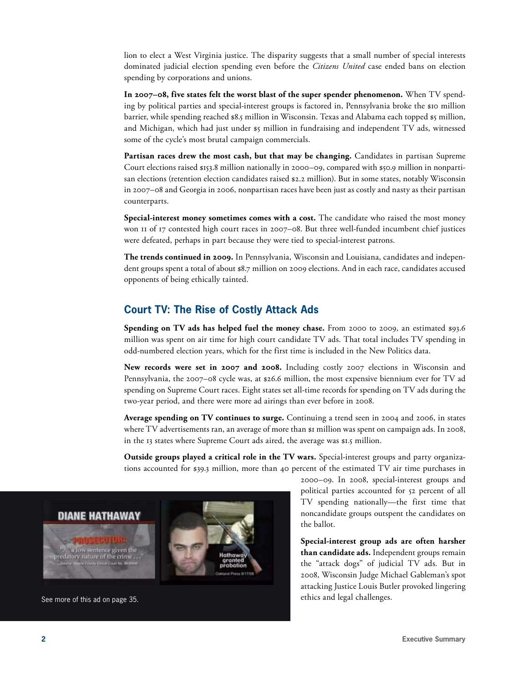lion to elect a West Virginia justice. The disparity suggests that a small number of special interests dominated judicial election spending even before the *Citizens United* case ended bans on election spending by corporations and unions.

**In 2007–08, five states felt the worst blast of the super spender phenomenon.** When TV spending by political parties and special-interest groups is factored in, Pennsylvania broke the \$10 million barrier, while spending reached \$8.5 million in Wisconsin. Texas and Alabama each topped \$5 million, and Michigan, which had just under \$5 million in fundraising and independent TV ads, witnessed some of the cycle's most brutal campaign commercials.

Partisan races drew the most cash, but that may be changing. Candidates in partisan Supreme Court elections raised \$153.8 million nationally in 2000–09, compared with \$50.9 million in nonpartisan elections (retention election candidates raised \$2.2 million). But in some states, notably Wisconsin in 2007–08 and Georgia in 2006, nonpartisan races have been just as costly and nasty as their partisan counterparts.

**Special-interest money sometimes comes with a cost.** The candidate who raised the most money won 11 of 17 contested high court races in 2007–08. But three well-funded incumbent chief justices were defeated, perhaps in part because they were tied to special-interest patrons.

**The trends continued in 2009.** In Pennsylvania, Wisconsin and Louisiana, candidates and independent groups spent a total of about \$8.7 million on 2009 elections. And in each race, candidates accused opponents of being ethically tainted.

#### **Court TV: The Rise of Costly Attack Ads**

**Spending on TV ads has helped fuel the money chase.** From 2000 to 2009, an estimated \$93.6 million was spent on air time for high court candidate TV ads. That total includes TV spending in odd-numbered election years, which for the first time is included in the New Politics data.

New records were set in 2007 and 2008. Including costly 2007 elections in Wisconsin and Pennsylvania, the 2007–08 cycle was, at \$26.6 million, the most expensive biennium ever for TV ad spending on Supreme Court races. Eight states set all-time records for spending on TV ads during the two-year period, and there were more ad airings than ever before in 2008.

**Average spending on TV continues to surge.** Continuing a trend seen in 2004 and 2006, in states where TV advertisements ran, an average of more than \$1 million was spent on campaign ads. In 2008, in the 13 states where Supreme Court ads aired, the average was \$1.5 million.

**Outside groups played a critical role in the TV wars.** Special-interest groups and party organizations accounted for \$39.3 million, more than 40 percent of the estimated TV air time purchases in



2000–09. In 2008, special-interest groups and political parties accounted for 52 percent of all TV spending nationally—the first time that noncandidate groups outspent the candidates on the ballot.

**Special-interest group ads are often harsher than candidate ads.** Independent groups remain the "attack dogs" of judicial TV ads. But in 2008, Wisconsin Judge Michael Gableman's spot attacking Justice Louis Butler provoked lingering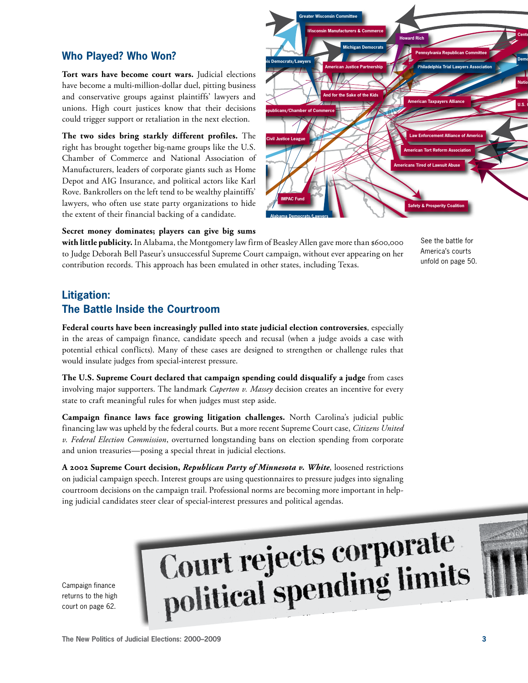#### **Who Played? Who Won?**

**Tort wars have become court wars.** Judicial elections have become a multi-million-dollar duel, pitting business and conservative groups against plaintiffs' lawyers and unions. High court justices know that their decisions could trigger support or retaliation in the next election.

**The two sides bring starkly different profiles.** The right has brought together big-name groups like the U.S. Chamber of Commerce and National Association of Manufacturers, leaders of corporate giants such as Home Depot and AIG Insurance, and political actors like Karl Rove. Bankrollers on the left tend to be wealthy plaintiffs' lawyers, who often use state party organizations to hide the extent of their financial backing of a candidate.



# **Secret money dominates; players can give big sums**  eir 1<br>**don**<br>icity

 $\bm{\mathrm{with}}$  little  $\bm{\mathrm{publicity}}.$  In Alabama, the Montgomery law firm of Beasley Allen gave more than \$600,000 to Judge Deborah Bell Paseur's unsuccessful Supreme Court campaign, without ever appearing on her contribution records. This approach has been emulated in other states, including Texas.

See the battle for America's courts unfold on page 50.

## **Litigation: The Battle Inside the Courtroom**

**Federal courts have been increasingly pulled into state judicial election controversies**, especially in the areas of campaign finance, candidate speech and recusal (when a judge avoids a case with potential ethical conflicts). Many of these cases are designed to strengthen or challenge rules that would insulate judges from special-interest pressure.

**The U.S. Supreme Court declared that campaign spending could disqualify a judge** from cases involving major supporters. The landmark *Caperton v. Massey* decision creates an incentive for every state to craft meaningful rules for when judges must step aside.

**Campaign finance laws face growing litigation challenges.** North Carolina's judicial public financing law was upheld by the federal courts. But a more recent Supreme Court case, *Citizens United v. Federal Election Commission*, overturned longstanding bans on election spending from corporate and union treasuries—posing a special threat in judicial elections.

**A 2002 Supreme Court decision,** *Republican Party of Minnesota v. White*, loosened restrictions on judicial campaign speech. Interest groups are using questionnaires to pressure judges into signaling courtroom decisions on the campaign trail. Professional norms are becoming more important in helping judicial candidates steer clear of special-interest pressures and political agendas.



Campaign finance returns to the high court on page 62.